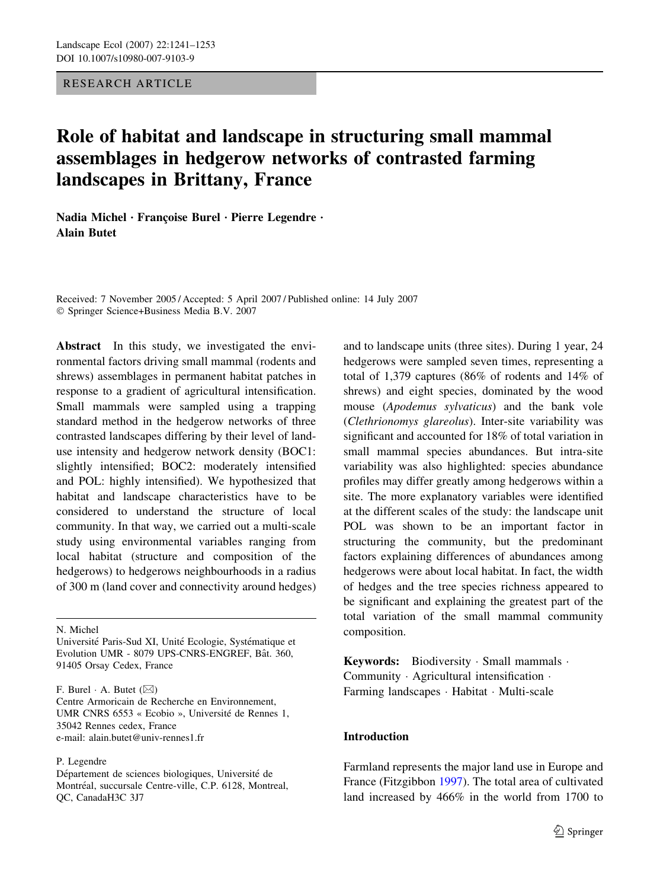## RESEARCH ARTICLE

# Role of habitat and landscape in structuring small mammal assemblages in hedgerow networks of contrasted farming landscapes in Brittany, France

Nadia Michel · Françoise Burel · Pierre Legendre · Alain Butet

Received: 7 November 2005 / Accepted: 5 April 2007 / Published online: 14 July 2007 Springer Science+Business Media B.V. 2007

Abstract In this study, we investigated the environmental factors driving small mammal (rodents and shrews) assemblages in permanent habitat patches in response to a gradient of agricultural intensification. Small mammals were sampled using a trapping standard method in the hedgerow networks of three contrasted landscapes differing by their level of landuse intensity and hedgerow network density (BOC1: slightly intensified; BOC2: moderately intensified and POL: highly intensified). We hypothesized that habitat and landscape characteristics have to be considered to understand the structure of local community. In that way, we carried out a multi-scale study using environmental variables ranging from local habitat (structure and composition of the hedgerows) to hedgerows neighbourhoods in a radius of 300 m (land cover and connectivity around hedges)

N. Michel

F. Burel  $\cdot$  A. Butet  $(\boxtimes)$ 

Centre Armoricain de Recherche en Environnement, UMR CNRS 6553 « Ecobio », Université de Rennes 1, 35042 Rennes cedex, France e-mail: alain.butet@univ-rennes1.fr

P. Legendre

Département de sciences biologiques, Université de Montréal, succursale Centre-ville, C.P. 6128, Montreal, QC, CanadaH3C 3J7

and to landscape units (three sites). During 1 year, 24 hedgerows were sampled seven times, representing a total of 1,379 captures (86% of rodents and 14% of shrews) and eight species, dominated by the wood mouse (Apodemus sylvaticus) and the bank vole (Clethrionomys glareolus). Inter-site variability was significant and accounted for 18% of total variation in small mammal species abundances. But intra-site variability was also highlighted: species abundance profiles may differ greatly among hedgerows within a site. The more explanatory variables were identified at the different scales of the study: the landscape unit POL was shown to be an important factor in structuring the community, but the predominant factors explaining differences of abundances among hedgerows were about local habitat. In fact, the width of hedges and the tree species richness appeared to be significant and explaining the greatest part of the total variation of the small mammal community composition.

Keywords: Biodiversity  $\cdot$  Small mammals  $\cdot$ Community · Agricultural intensification · Farming landscapes · Habitat · Multi-scale

## Introduction

Farmland represents the major land use in Europe and France (Fitzgibbon [1997\)](#page-10-0). The total area of cultivated land increased by 466% in the world from 1700 to

Université Paris-Sud XI, Unité Ecologie, Systématique et Evolution UMR - 8079 UPS-CNRS-ENGREF, Bât. 360, 91405 Orsay Cedex, France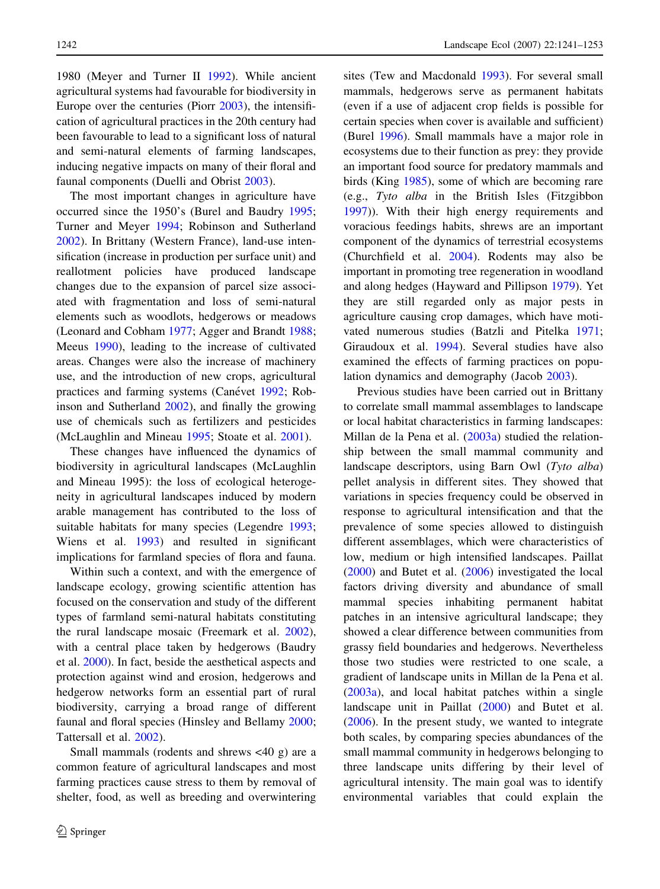1980 (Meyer and Turner II [1992\)](#page-11-0). While ancient agricultural systems had favourable for biodiversity in Europe over the centuries (Piorr [2003\)](#page-11-0), the intensification of agricultural practices in the 20th century had been favourable to lead to a significant loss of natural and semi-natural elements of farming landscapes, inducing negative impacts on many of their floral and faunal components (Duelli and Obrist [2003\)](#page-10-0).

The most important changes in agriculture have occurred since the 1950's (Burel and Baudry [1995](#page-10-0); Turner and Meyer [1994;](#page-12-0) Robinson and Sutherland [2002\)](#page-11-0). In Brittany (Western France), land-use intensification (increase in production per surface unit) and reallotment policies have produced landscape changes due to the expansion of parcel size associated with fragmentation and loss of semi-natural elements such as woodlots, hedgerows or meadows (Leonard and Cobham [1977;](#page-11-0) Agger and Brandt [1988](#page-10-0); Meeus [1990](#page-11-0)), leading to the increase of cultivated areas. Changes were also the increase of machinery use, and the introduction of new crops, agricultural practices and farming systems (Canévet [1992;](#page-10-0) Robinson and Sutherland [2002\)](#page-11-0), and finally the growing use of chemicals such as fertilizers and pesticides (McLaughlin and Mineau [1995;](#page-11-0) Stoate et al. [2001\)](#page-11-0).

These changes have influenced the dynamics of biodiversity in agricultural landscapes (McLaughlin and Mineau 1995): the loss of ecological heterogeneity in agricultural landscapes induced by modern arable management has contributed to the loss of suitable habitats for many species (Legendre [1993](#page-11-0); Wiens et al. [1993](#page-12-0)) and resulted in significant implications for farmland species of flora and fauna.

Within such a context, and with the emergence of landscape ecology, growing scientific attention has focused on the conservation and study of the different types of farmland semi-natural habitats constituting the rural landscape mosaic (Freemark et al. [2002](#page-10-0)), with a central place taken by hedgerows (Baudry et al. [2000\)](#page-10-0). In fact, beside the aesthetical aspects and protection against wind and erosion, hedgerows and hedgerow networks form an essential part of rural biodiversity, carrying a broad range of different faunal and floral species (Hinsley and Bellamy [2000](#page-11-0); Tattersall et al. [2002\)](#page-12-0).

Small mammals (rodents and shrews <40 g) are a common feature of agricultural landscapes and most farming practices cause stress to them by removal of shelter, food, as well as breeding and overwintering

sites (Tew and Macdonald [1993\)](#page-12-0). For several small mammals, hedgerows serve as permanent habitats (even if a use of adjacent crop fields is possible for certain species when cover is available and sufficient) (Burel [1996](#page-10-0)). Small mammals have a major role in ecosystems due to their function as prey: they provide an important food source for predatory mammals and birds (King [1985](#page-11-0)), some of which are becoming rare (e.g., Tyto alba in the British Isles (Fitzgibbon [1997\)](#page-10-0)). With their high energy requirements and voracious feedings habits, shrews are an important component of the dynamics of terrestrial ecosystems (Churchfield et al. [2004](#page-10-0)). Rodents may also be important in promoting tree regeneration in woodland and along hedges (Hayward and Pillipson [1979](#page-10-0)). Yet they are still regarded only as major pests in agriculture causing crop damages, which have motivated numerous studies (Batzli and Pitelka [1971](#page-10-0); Giraudoux et al. [1994](#page-10-0)). Several studies have also examined the effects of farming practices on population dynamics and demography (Jacob [2003](#page-11-0)).

Previous studies have been carried out in Brittany to correlate small mammal assemblages to landscape or local habitat characteristics in farming landscapes: Millan de la Pena et al. ([2003a](#page-11-0)) studied the relationship between the small mammal community and landscape descriptors, using Barn Owl (Tyto alba) pellet analysis in different sites. They showed that variations in species frequency could be observed in response to agricultural intensification and that the prevalence of some species allowed to distinguish different assemblages, which were characteristics of low, medium or high intensified landscapes. Paillat [\(2000](#page-11-0)) and Butet et al. ([2006\)](#page-10-0) investigated the local factors driving diversity and abundance of small mammal species inhabiting permanent habitat patches in an intensive agricultural landscape; they showed a clear difference between communities from grassy field boundaries and hedgerows. Nevertheless those two studies were restricted to one scale, a gradient of landscape units in Millan de la Pena et al. [\(2003a\)](#page-11-0), and local habitat patches within a single landscape unit in Paillat [\(2000](#page-11-0)) and Butet et al. [\(2006](#page-10-0)). In the present study, we wanted to integrate both scales, by comparing species abundances of the small mammal community in hedgerows belonging to three landscape units differing by their level of agricultural intensity. The main goal was to identify environmental variables that could explain the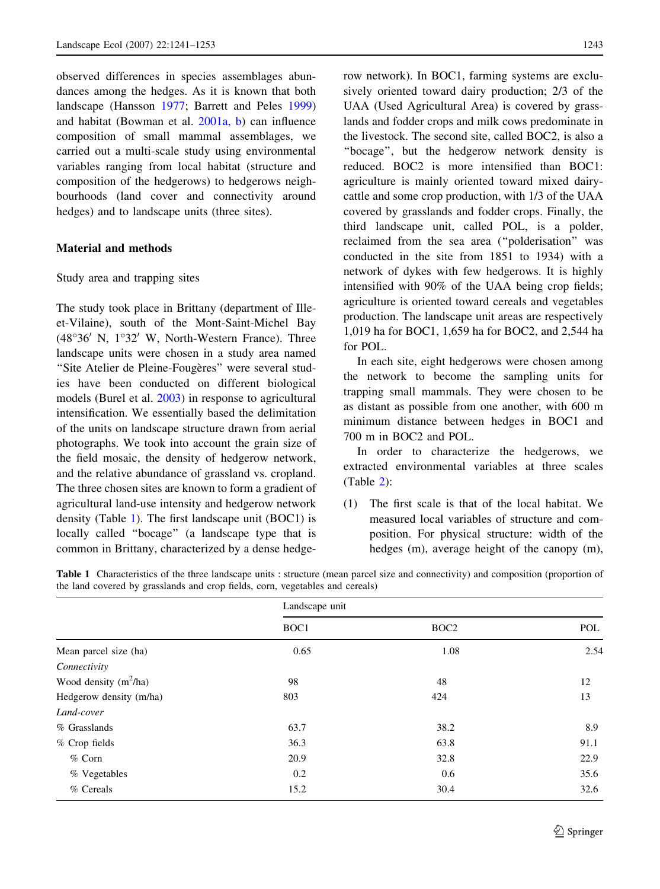observed differences in species assemblages abundances among the hedges. As it is known that both landscape (Hansson [1977](#page-10-0); Barrett and Peles [1999\)](#page-10-0) and habitat (Bowman et al. [2001a, b](#page-10-0)) can influence composition of small mammal assemblages, we carried out a multi-scale study using environmental variables ranging from local habitat (structure and composition of the hedgerows) to hedgerows neighbourhoods (land cover and connectivity around hedges) and to landscape units (three sites).

#### Material and methods

#### Study area and trapping sites

The study took place in Brittany (department of Illeet-Vilaine), south of the Mont-Saint-Michel Bay  $(48°36'$  N,  $1°32'$  W, North-Western France). Three landscape units were chosen in a study area named "Site Atelier de Pleine-Fougères" were several studies have been conducted on different biological models (Burel et al. [2003](#page-10-0)) in response to agricultural intensification. We essentially based the delimitation of the units on landscape structure drawn from aerial photographs. We took into account the grain size of the field mosaic, the density of hedgerow network, and the relative abundance of grassland vs. cropland. The three chosen sites are known to form a gradient of agricultural land-use intensity and hedgerow network density (Table 1). The first landscape unit (BOC1) is locally called ''bocage'' (a landscape type that is common in Brittany, characterized by a dense hedgerow network). In BOC1, farming systems are exclusively oriented toward dairy production; 2/3 of the UAA (Used Agricultural Area) is covered by grasslands and fodder crops and milk cows predominate in the livestock. The second site, called BOC2, is also a ''bocage'', but the hedgerow network density is reduced. BOC2 is more intensified than BOC1: agriculture is mainly oriented toward mixed dairycattle and some crop production, with 1/3 of the UAA covered by grasslands and fodder crops. Finally, the third landscape unit, called POL, is a polder, reclaimed from the sea area (''polderisation'' was conducted in the site from 1851 to 1934) with a network of dykes with few hedgerows. It is highly intensified with 90% of the UAA being crop fields; agriculture is oriented toward cereals and vegetables production. The landscape unit areas are respectively 1,019 ha for BOC1, 1,659 ha for BOC2, and 2,544 ha for POL.

In each site, eight hedgerows were chosen among the network to become the sampling units for trapping small mammals. They were chosen to be as distant as possible from one another, with 600 m minimum distance between hedges in BOC1 and 700 m in BOC2 and POL.

In order to characterize the hedgerows, we extracted environmental variables at three scales (Table [2](#page-3-0)):

(1) The first scale is that of the local habitat. We measured local variables of structure and composition. For physical structure: width of the hedges (m), average height of the canopy (m),

| <b>Table 1</b> Characteristics of the three landscape units: structure (mean parcel size and connectivity) and composition (proportion of |  |  |  |
|-------------------------------------------------------------------------------------------------------------------------------------------|--|--|--|
| the land covered by grasslands and crop fields, corn, vegetables and cereals)                                                             |  |  |  |

|                         | Landscape unit |                  |      |  |  |  |
|-------------------------|----------------|------------------|------|--|--|--|
|                         | BOC1           | BOC <sub>2</sub> | POL  |  |  |  |
| Mean parcel size (ha)   | 0.65           | 1.08             | 2.54 |  |  |  |
| Connectivity            |                |                  |      |  |  |  |
| Wood density $(m^2/ha)$ | 98             | 48               | 12   |  |  |  |
| Hedgerow density (m/ha) | 803            | 424              | 13   |  |  |  |
| Land-cover              |                |                  |      |  |  |  |
| % Grasslands            | 63.7           | 38.2             | 8.9  |  |  |  |
| % Crop fields           | 36.3           | 63.8             | 91.1 |  |  |  |
| $%$ Corn                | 20.9           | 32.8             | 22.9 |  |  |  |
| % Vegetables            | 0.2            | 0.6              | 35.6 |  |  |  |
| % Cereals               | 15.2           | 30.4             | 32.6 |  |  |  |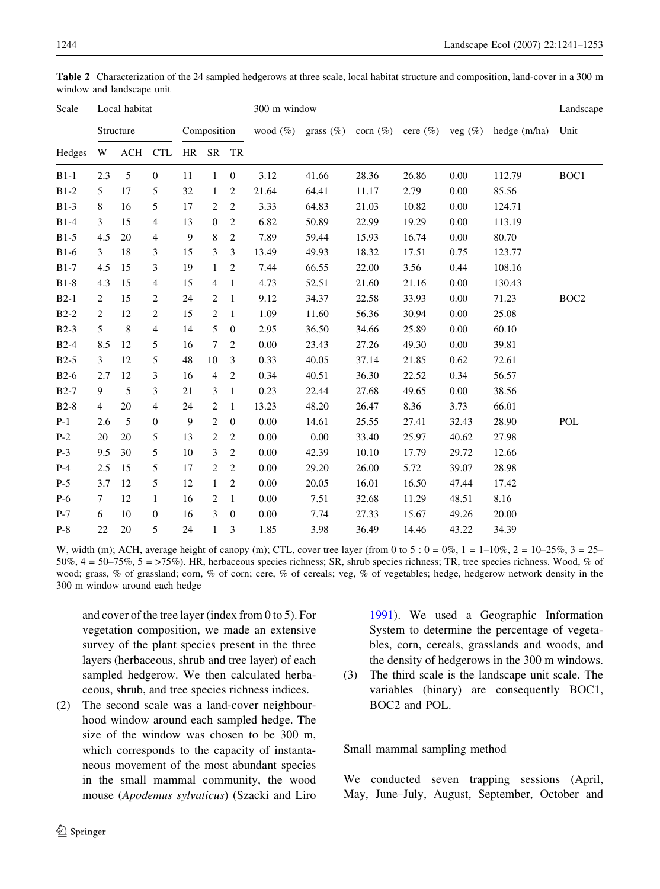| Scale<br>Hedges | Local habitat  |            |                  |             |                |                | 300 m window |          |       |       |                                                                          |        |                  |
|-----------------|----------------|------------|------------------|-------------|----------------|----------------|--------------|----------|-------|-------|--------------------------------------------------------------------------|--------|------------------|
|                 | Structure      |            |                  | Composition |                |                |              |          |       |       | wood $(\%)$ grass $(\%)$ corn $(\%)$ cere $(\%)$ veg $(\%)$ hedge (m/ha) | Unit   |                  |
|                 | W              |            | ACH CTL          |             | HR SR TR       |                |              |          |       |       |                                                                          |        |                  |
| $B1-1$          | 2.3            | $\sqrt{5}$ | $\boldsymbol{0}$ | 11          | $\mathbf{1}$   | $\mathbf{0}$   | 3.12         | 41.66    | 28.36 | 26.86 | 0.00                                                                     | 112.79 | BOC1             |
| $B1-2$          | 5              | 17         | 5                | 32          | $\mathbf{1}$   | $\overline{c}$ | 21.64        | 64.41    | 11.17 | 2.79  | 0.00                                                                     | 85.56  |                  |
| $B1-3$          | 8              | 16         | 5                | 17          | $\overline{c}$ | $\overline{c}$ | 3.33         | 64.83    | 21.03 | 10.82 | 0.00                                                                     | 124.71 |                  |
| $B1-4$          | 3              | 15         | 4                | 13          | $\mathbf{0}$   | $\overline{c}$ | 6.82         | 50.89    | 22.99 | 19.29 | 0.00                                                                     | 113.19 |                  |
| $B1-5$          | 4.5            | 20         | 4                | 9           | 8              | $\overline{c}$ | 7.89         | 59.44    | 15.93 | 16.74 | 0.00                                                                     | 80.70  |                  |
| $B1-6$          | 3              | 18         | 3                | 15          | 3              | 3              | 13.49        | 49.93    | 18.32 | 17.51 | 0.75                                                                     | 123.77 |                  |
| $B1-7$          | 4.5            | 15         | 3                | 19          | $\mathbf{1}$   | 2              | 7.44         | 66.55    | 22.00 | 3.56  | 0.44                                                                     | 108.16 |                  |
| $B1-8$          | 4.3            | 15         | 4                | 15          | $\overline{4}$ | $\mathbf{1}$   | 4.73         | 52.51    | 21.60 | 21.16 | 0.00                                                                     | 130.43 |                  |
| $B2-1$          | 2              | 15         | 2                | 24          | 2              | $\mathbf{1}$   | 9.12         | 34.37    | 22.58 | 33.93 | 0.00                                                                     | 71.23  | BOC <sub>2</sub> |
| $B2-2$          | $\overline{c}$ | 12         | 2                | 15          | $\mathbf{2}$   | $\mathbf{1}$   | 1.09         | 11.60    | 56.36 | 30.94 | 0.00                                                                     | 25.08  |                  |
| $B2-3$          | 5              | 8          | 4                | 14          | 5              | $\mathbf{0}$   | 2.95         | 36.50    | 34.66 | 25.89 | 0.00                                                                     | 60.10  |                  |
| $B2-4$          | 8.5            | 12         | 5                | 16          | $\overline{7}$ | $\overline{c}$ | 0.00         | 23.43    | 27.26 | 49.30 | 0.00                                                                     | 39.81  |                  |
| $B2-5$          | 3              | 12         | 5                | 48          | 10             | 3              | 0.33         | 40.05    | 37.14 | 21.85 | 0.62                                                                     | 72.61  |                  |
| $B2-6$          | 2.7            | 12         | 3                | 16          | $\overline{4}$ | $\overline{c}$ | 0.34         | 40.51    | 36.30 | 22.52 | 0.34                                                                     | 56.57  |                  |
| $B2-7$          | 9              | 5          | 3                | 21          | 3              | $\mathbf{1}$   | 0.23         | 22.44    | 27.68 | 49.65 | $0.00\,$                                                                 | 38.56  |                  |
| $B2-8$          | $\overline{4}$ | 20         | 4                | 24          | $\mathbf{2}$   | $\mathbf{1}$   | 13.23        | 48.20    | 26.47 | 8.36  | 3.73                                                                     | 66.01  |                  |
| $P-1$           | 2.6            | 5          | $\boldsymbol{0}$ | 9           | $\mathbf{2}$   | $\mathbf{0}$   | 0.00         | 14.61    | 25.55 | 27.41 | 32.43                                                                    | 28.90  | POL              |
| $P-2$           | $20\,$         | 20         | 5                | 13          | $\sqrt{2}$     | $\overline{c}$ | 0.00         | $0.00\,$ | 33.40 | 25.97 | 40.62                                                                    | 27.98  |                  |
| $P-3$           | 9.5            | 30         | 5                | 10          | 3              | $\overline{c}$ | 0.00         | 42.39    | 10.10 | 17.79 | 29.72                                                                    | 12.66  |                  |
| $P-4$           | 2.5            | 15         | 5                | 17          | $\sqrt{2}$     | $\overline{c}$ | 0.00         | 29.20    | 26.00 | 5.72  | 39.07                                                                    | 28.98  |                  |
| $P-5$           | 3.7            | 12         | 5                | 12          | $\mathbf{1}$   | 2              | 0.00         | 20.05    | 16.01 | 16.50 | 47.44                                                                    | 17.42  |                  |
| $P-6$           | $\tau$         | 12         | $\mathbf{1}$     | 16          | $\sqrt{2}$     | $\mathbf{1}$   | 0.00         | 7.51     | 32.68 | 11.29 | 48.51                                                                    | 8.16   |                  |
| $P-7$           | 6              | 10         | $\boldsymbol{0}$ | 16          | 3              | $\mathbf{0}$   | $0.00\,$     | 7.74     | 27.33 | 15.67 | 49.26                                                                    | 20.00  |                  |
| $P-8$           | 22             | 20         | 5                | 24          | $\mathbf{1}$   | 3              | 1.85         | 3.98     | 36.49 | 14.46 | 43.22                                                                    | 34.39  |                  |

<span id="page-3-0"></span>Table 2 Characterization of the 24 sampled hedgerows at three scale, local habitat structure and composition, land-cover in a 300 m window and landscape unit

W, width (m); ACH, average height of canopy (m); CTL, cover tree layer (from 0 to 5 :  $0 = 0\%$ ,  $1 = 1-10\%$ ,  $2 = 10-25\%$ ,  $3 = 25-10\%$ 50%, 4 = 50–75%, 5 = >75%). HR, herbaceous species richness; SR, shrub species richness; TR, tree species richness. Wood, % of wood; grass, % of grassland; corn, % of corn; cere, % of cereals; veg, % of vegetables; hedge, hedgerow network density in the 300 m window around each hedge

and cover of the tree layer (index from 0 to 5). For vegetation composition, we made an extensive survey of the plant species present in the three layers (herbaceous, shrub and tree layer) of each sampled hedgerow. We then calculated herbaceous, shrub, and tree species richness indices.

(2) The second scale was a land-cover neighbourhood window around each sampled hedge. The size of the window was chosen to be 300 m, which corresponds to the capacity of instantaneous movement of the most abundant species in the small mammal community, the wood mouse (Apodemus sylvaticus) (Szacki and Liro

[1991](#page-11-0)). We used a Geographic Information System to determine the percentage of vegetables, corn, cereals, grasslands and woods, and the density of hedgerows in the 300 m windows.

(3) The third scale is the landscape unit scale. The variables (binary) are consequently BOC1, BOC2 and POL.

Small mammal sampling method

We conducted seven trapping sessions (April, May, June–July, August, September, October and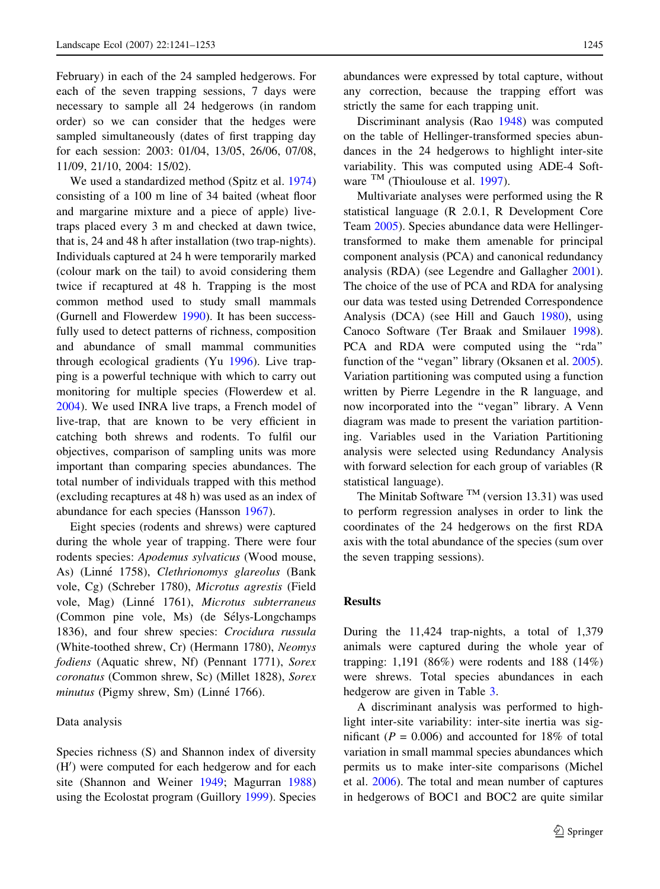February) in each of the 24 sampled hedgerows. For each of the seven trapping sessions, 7 days were necessary to sample all 24 hedgerows (in random order) so we can consider that the hedges were sampled simultaneously (dates of first trapping day for each session: 2003: 01/04, 13/05, 26/06, 07/08, 11/09, 21/10, 2004: 15/02).

We used a standardized method (Spitz et al. [1974\)](#page-11-0) consisting of a 100 m line of 34 baited (wheat floor and margarine mixture and a piece of apple) livetraps placed every 3 m and checked at dawn twice, that is, 24 and 48 h after installation (two trap-nights). Individuals captured at 24 h were temporarily marked (colour mark on the tail) to avoid considering them twice if recaptured at 48 h. Trapping is the most common method used to study small mammals (Gurnell and Flowerdew [1990\)](#page-10-0). It has been successfully used to detect patterns of richness, composition and abundance of small mammal communities through ecological gradients (Yu [1996\)](#page-12-0). Live trapping is a powerful technique with which to carry out monitoring for multiple species (Flowerdew et al. [2004\)](#page-10-0). We used INRA live traps, a French model of live-trap, that are known to be very efficient in catching both shrews and rodents. To fulfil our objectives, comparison of sampling units was more important than comparing species abundances. The total number of individuals trapped with this method (excluding recaptures at 48 h) was used as an index of abundance for each species (Hansson [1967\)](#page-10-0).

Eight species (rodents and shrews) were captured during the whole year of trapping. There were four rodents species: Apodemus sylvaticus (Wood mouse, As) (Linné 1758), Clethrionomys glareolus (Bank vole, Cg) (Schreber 1780), Microtus agrestis (Field vole, Mag) (Linné 1761), Microtus subterraneus (Common pine vole, Ms) (de Sélys-Longchamps 1836), and four shrew species: Crocidura russula (White-toothed shrew, Cr) (Hermann 1780), Neomys fodiens (Aquatic shrew, Nf) (Pennant 1771), Sorex coronatus (Common shrew, Sc) (Millet 1828), Sorex minutus (Pigmy shrew, Sm) (Linné 1766).

#### Data analysis

Species richness (S) and Shannon index of diversity (H') were computed for each hedgerow and for each site (Shannon and Weiner [1949](#page-11-0); Magurran [1988\)](#page-11-0) using the Ecolostat program (Guillory [1999](#page-10-0)). Species abundances were expressed by total capture, without any correction, because the trapping effort was strictly the same for each trapping unit.

Discriminant analysis (Rao [1948](#page-11-0)) was computed on the table of Hellinger-transformed species abundances in the 24 hedgerows to highlight inter-site variability. This was computed using ADE-4 Soft-ware <sup>TM</sup> (Thioulouse et al. [1997](#page-12-0)).

Multivariate analyses were performed using the R statistical language (R 2.0.1, R Development Core Team [2005](#page-12-0)). Species abundance data were Hellingertransformed to make them amenable for principal component analysis (PCA) and canonical redundancy analysis (RDA) (see Legendre and Gallagher [2001](#page-11-0)). The choice of the use of PCA and RDA for analysing our data was tested using Detrended Correspondence Analysis (DCA) (see Hill and Gauch [1980](#page-11-0)), using Canoco Software (Ter Braak and Smilauer [1998](#page-12-0)). PCA and RDA were computed using the "rda" function of the ''vegan'' library (Oksanen et al. [2005](#page-11-0)). Variation partitioning was computed using a function written by Pierre Legendre in the R language, and now incorporated into the ''vegan'' library. A Venn diagram was made to present the variation partitioning. Variables used in the Variation Partitioning analysis were selected using Redundancy Analysis with forward selection for each group of variables (R statistical language).

The Minitab Software  $<sup>TM</sup>$  (version 13.31) was used</sup> to perform regression analyses in order to link the coordinates of the 24 hedgerows on the first RDA axis with the total abundance of the species (sum over the seven trapping sessions).

#### Results

During the 11,424 trap-nights, a total of 1,379 animals were captured during the whole year of trapping: 1,191 (86%) were rodents and 188 (14%) were shrews. Total species abundances in each hedgerow are given in Table [3](#page-5-0).

A discriminant analysis was performed to highlight inter-site variability: inter-site inertia was significant ( $P = 0.006$ ) and accounted for 18% of total variation in small mammal species abundances which permits us to make inter-site comparisons (Michel et al. [2006\)](#page-11-0). The total and mean number of captures in hedgerows of BOC1 and BOC2 are quite similar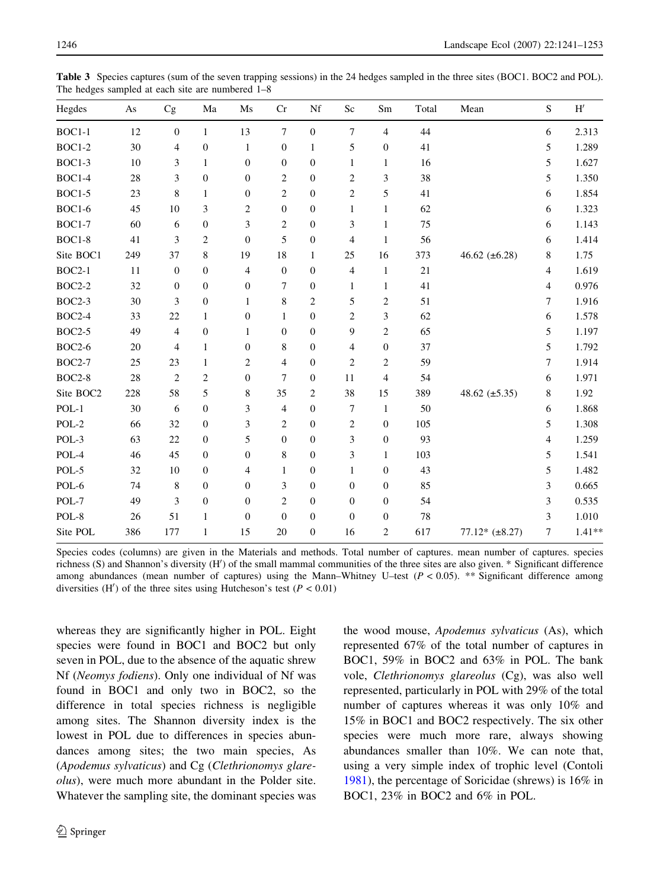<span id="page-5-0"></span>

| Hegdes        | As  | Cg                       | Ma               | Ms               | Cr               | Nf               | Sc               | Sm               | Total | Mean               | S                        | $\mathbf{H}^{\prime}$ |
|---------------|-----|--------------------------|------------------|------------------|------------------|------------------|------------------|------------------|-------|--------------------|--------------------------|-----------------------|
| $BOC1-1$      | 12  | $\boldsymbol{0}$         | $\mathbf{1}$     | 13               | $\overline{7}$   | $\boldsymbol{0}$ | $\boldsymbol{7}$ | 4                | 44    |                    | 6                        | 2.313                 |
| <b>BOC1-2</b> | 30  | 4                        | $\boldsymbol{0}$ | $\mathbf{1}$     | $\boldsymbol{0}$ | 1                | 5                | $\boldsymbol{0}$ | 41    |                    | 5                        | 1.289                 |
| BOC1-3        | 10  | 3                        | $\mathbf{1}$     | $\boldsymbol{0}$ | $\mathbf{0}$     | $\overline{0}$   | 1                | $\mathbf{1}$     | 16    |                    | 5                        | 1.627                 |
| <b>BOC1-4</b> | 28  | 3                        | $\boldsymbol{0}$ | $\boldsymbol{0}$ | $\overline{2}$   | $\mathbf{0}$     | $\overline{2}$   | 3                | 38    |                    | 5                        | 1.350                 |
| $BOC1-5$      | 23  | 8                        | $\mathbf{1}$     | $\boldsymbol{0}$ | $\overline{2}$   | $\overline{0}$   | $\overline{c}$   | 5                | 41    |                    | 6                        | 1.854                 |
| <b>BOC1-6</b> | 45  | 10                       | 3                | $\sqrt{2}$       | $\overline{0}$   | $\mathbf{0}$     | $\mathbf{1}$     | $\mathbf{1}$     | 62    |                    | 6                        | 1.323                 |
| <b>BOC1-7</b> | 60  | 6                        | $\boldsymbol{0}$ | $\mathfrak{Z}$   | $\overline{2}$   | $\mathbf{0}$     | 3                | $\mathbf{1}$     | 75    |                    | 6                        | 1.143                 |
| $BOC1-8$      | 41  | 3                        | $\overline{c}$   | $\boldsymbol{0}$ | 5                | $\boldsymbol{0}$ | $\overline{4}$   | $\mathbf{1}$     | 56    |                    | 6                        | 1.414                 |
| Site BOC1     | 249 | 37                       | 8                | 19               | 18               | $\mathbf{1}$     | 25               | 16               | 373   | 46.62 $(\pm 6.28)$ | 8                        | 1.75                  |
| $BOC2-1$      | 11  | $\boldsymbol{0}$         | $\boldsymbol{0}$ | $\overline{4}$   | $\boldsymbol{0}$ | $\boldsymbol{0}$ | $\overline{4}$   | $\mathbf{1}$     | 21    |                    | $\overline{4}$           | 1.619                 |
| <b>BOC2-2</b> | 32  | $\boldsymbol{0}$         | $\boldsymbol{0}$ | $\boldsymbol{0}$ | $\overline{7}$   | $\boldsymbol{0}$ | $\mathbf{1}$     | $\mathbf{1}$     | 41    |                    | $\overline{\mathcal{L}}$ | 0.976                 |
| <b>BOC2-3</b> | 30  | 3                        | $\boldsymbol{0}$ | $\mathbf{1}$     | 8                | $\overline{c}$   | 5                | 2                | 51    |                    | 7                        | 1.916                 |
| <b>BOC2-4</b> | 33  | 22                       | $\mathbf{1}$     | $\boldsymbol{0}$ | 1                | $\mathbf{0}$     | $\overline{c}$   | 3                | 62    |                    | 6                        | 1.578                 |
| <b>BOC2-5</b> | 49  | $\overline{\mathcal{L}}$ | $\boldsymbol{0}$ | $\mathbf{1}$     | $\boldsymbol{0}$ | $\boldsymbol{0}$ | 9                | 2                | 65    |                    | 5                        | 1.197                 |
| <b>BOC2-6</b> | 20  | 4                        | $\mathbf{1}$     | $\boldsymbol{0}$ | 8                | $\overline{0}$   | 4                | $\boldsymbol{0}$ | 37    |                    | 5                        | 1.792                 |
| <b>BOC2-7</b> | 25  | 23                       | $\mathbf{1}$     | $\overline{c}$   | $\overline{4}$   | $\boldsymbol{0}$ | $\overline{c}$   | 2                | 59    |                    | 7                        | 1.914                 |
| <b>BOC2-8</b> | 28  | $\overline{c}$           | $\sqrt{2}$       | $\boldsymbol{0}$ | 7                | $\mathbf{0}$     | 11               | $\overline{4}$   | 54    |                    | 6                        | 1.971                 |
| Site BOC2     | 228 | 58                       | 5                | $\,$ 8 $\,$      | 35               | $\overline{c}$   | 38               | 15               | 389   | 48.62 $(\pm 5.35)$ | 8                        | 1.92                  |
| $POL-1$       | 30  | 6                        | $\boldsymbol{0}$ | $\mathfrak{Z}$   | $\overline{4}$   | $\mathbf{0}$     | $\boldsymbol{7}$ | $\mathbf{1}$     | 50    |                    | 6                        | 1.868                 |
| $POL-2$       | 66  | 32                       | $\boldsymbol{0}$ | $\mathfrak z$    | $\overline{c}$   | $\mathbf{0}$     | 2                | $\mathbf{0}$     | 105   |                    | 5                        | 1.308                 |
| POL-3         | 63  | $22\,$                   | $\boldsymbol{0}$ | 5                | $\overline{0}$   | $\mathbf{0}$     | 3                | $\mathbf{0}$     | 93    |                    | $\overline{\mathcal{L}}$ | 1.259                 |
| POL-4         | 46  | 45                       | $\boldsymbol{0}$ | $\boldsymbol{0}$ | 8                | $\boldsymbol{0}$ | 3                | 1                | 103   |                    | 5                        | 1.541                 |
| POL-5         | 32  | 10                       | $\boldsymbol{0}$ | 4                | $\mathbf{1}$     | $\mathbf{0}$     | $\mathbf{1}$     | $\boldsymbol{0}$ | 43    |                    | 5                        | 1.482                 |
| POL-6         | 74  | 8                        | $\boldsymbol{0}$ | $\boldsymbol{0}$ | 3                | $\overline{0}$   | $\mathbf{0}$     | $\boldsymbol{0}$ | 85    |                    | 3                        | 0.665                 |
| POL-7         | 49  | 3                        | $\boldsymbol{0}$ | $\boldsymbol{0}$ | $\overline{c}$   | $\boldsymbol{0}$ | $\boldsymbol{0}$ | $\boldsymbol{0}$ | 54    |                    | 3                        | 0.535                 |
| POL-8         | 26  | 51                       | $\mathbf{1}$     | $\boldsymbol{0}$ | $\overline{0}$   | $\mathbf{0}$     | $\boldsymbol{0}$ | $\boldsymbol{0}$ | 78    |                    | 3                        | 1.010                 |
| Site POL      | 386 | 177                      | $\mathbf{1}$     | 15               | 20               | $\boldsymbol{0}$ | 16               | 2                | 617   | $77.12*(\pm 8.27)$ | 7                        | $1.41**$              |

Species codes (columns) are given in the Materials and methods. Total number of captures. mean number of captures. species richness (S) and Shannon's diversity (H') of the small mammal communities of the three sites are also given. \* Significant difference among abundances (mean number of captures) using the Mann–Whitney U–test  $(P < 0.05)$ . \*\* Significant difference among diversities (H') of the three sites using Hutcheson's test ( $P < 0.01$ )

whereas they are significantly higher in POL. Eight species were found in BOC1 and BOC2 but only seven in POL, due to the absence of the aquatic shrew Nf (Neomys fodiens). Only one individual of Nf was found in BOC1 and only two in BOC2, so the difference in total species richness is negligible among sites. The Shannon diversity index is the lowest in POL due to differences in species abundances among sites; the two main species, As (Apodemus sylvaticus) and Cg (Clethrionomys glareolus), were much more abundant in the Polder site. Whatever the sampling site, the dominant species was

the wood mouse, Apodemus sylvaticus (As), which represented 67% of the total number of captures in BOC1, 59% in BOC2 and 63% in POL. The bank vole, Clethrionomys glareolus (Cg), was also well represented, particularly in POL with 29% of the total number of captures whereas it was only 10% and 15% in BOC1 and BOC2 respectively. The six other species were much more rare, always showing abundances smaller than 10%. We can note that, using a very simple index of trophic level (Contoli [1981\)](#page-10-0), the percentage of Soricidae (shrews) is 16% in BOC1, 23% in BOC2 and 6% in POL.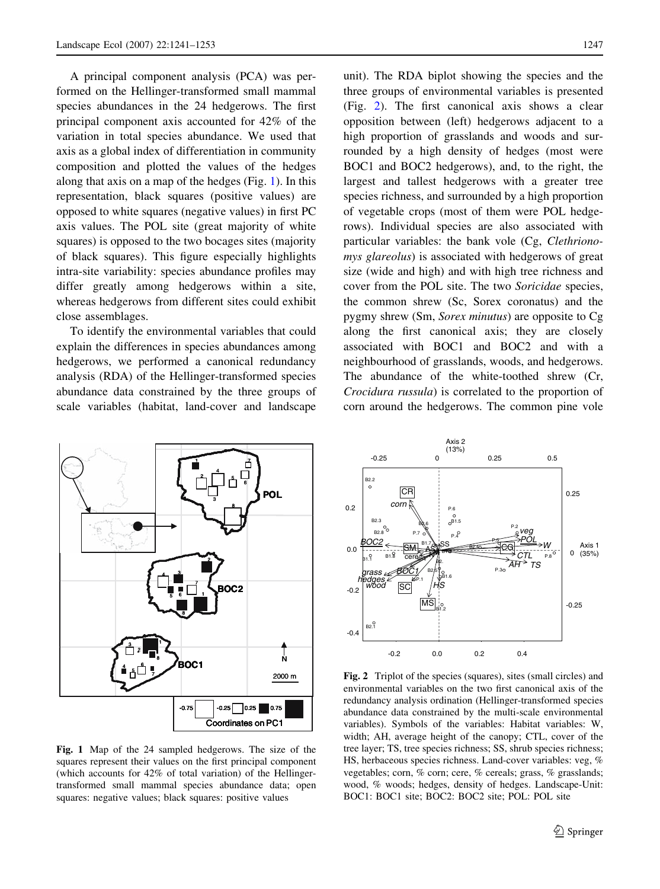<span id="page-6-0"></span>A principal component analysis (PCA) was performed on the Hellinger-transformed small mammal species abundances in the 24 hedgerows. The first principal component axis accounted for 42% of the variation in total species abundance. We used that axis as a global index of differentiation in community composition and plotted the values of the hedges along that axis on a map of the hedges (Fig. 1). In this representation, black squares (positive values) are opposed to white squares (negative values) in first PC axis values. The POL site (great majority of white squares) is opposed to the two bocages sites (majority of black squares). This figure especially highlights intra-site variability: species abundance profiles may differ greatly among hedgerows within a site, whereas hedgerows from different sites could exhibit close assemblages.

To identify the environmental variables that could explain the differences in species abundances among hedgerows, we performed a canonical redundancy analysis (RDA) of the Hellinger-transformed species abundance data constrained by the three groups of scale variables (habitat, land-cover and landscape

unit). The RDA biplot showing the species and the three groups of environmental variables is presented (Fig. 2). The first canonical axis shows a clear opposition between (left) hedgerows adjacent to a high proportion of grasslands and woods and surrounded by a high density of hedges (most were BOC1 and BOC2 hedgerows), and, to the right, the largest and tallest hedgerows with a greater tree species richness, and surrounded by a high proportion of vegetable crops (most of them were POL hedgerows). Individual species are also associated with particular variables: the bank vole (Cg, Clethrionomys glareolus) is associated with hedgerows of great size (wide and high) and with high tree richness and cover from the POL site. The two Soricidae species, the common shrew (Sc, Sorex coronatus) and the pygmy shrew (Sm, Sorex minutus) are opposite to Cg along the first canonical axis; they are closely associated with BOC1 and BOC2 and with a neighbourhood of grasslands, woods, and hedgerows. The abundance of the white-toothed shrew (Cr, Crocidura russula) is correlated to the proportion of corn around the hedgerows. The common pine vole



Fig. 1 Map of the 24 sampled hedgerows. The size of the squares represent their values on the first principal component (which accounts for 42% of total variation) of the Hellingertransformed small mammal species abundance data; open squares: negative values; black squares: positive values



Fig. 2 Triplot of the species (squares), sites (small circles) and environmental variables on the two first canonical axis of the redundancy analysis ordination (Hellinger-transformed species abundance data constrained by the multi-scale environmental variables). Symbols of the variables: Habitat variables: W, width; AH, average height of the canopy; CTL, cover of the tree layer; TS, tree species richness; SS, shrub species richness; HS, herbaceous species richness. Land-cover variables: veg, % vegetables; corn, % corn; cere, % cereals; grass, % grasslands; wood, % woods; hedges, density of hedges. Landscape-Unit: BOC1: BOC1 site; BOC2: BOC2 site; POL: POL site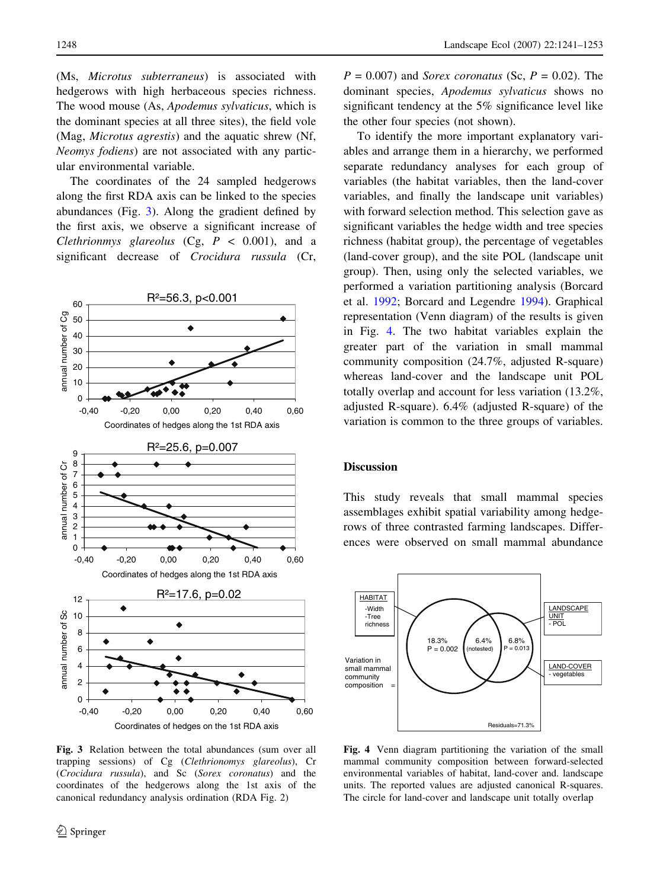(Ms, Microtus subterraneus) is associated with hedgerows with high herbaceous species richness. The wood mouse (As, Apodemus sylvaticus, which is the dominant species at all three sites), the field vole (Mag, Microtus agrestis) and the aquatic shrew (Nf, Neomys fodiens) are not associated with any particular environmental variable.

The coordinates of the 24 sampled hedgerows along the first RDA axis can be linked to the species abundances (Fig. 3). Along the gradient defined by the first axis, we observe a significant increase of Clethrionmys glareolus  $(Cg, P < 0.001)$ , and a significant decrease of Crocidura russula (Cr,



Fig. 3 Relation between the total abundances (sum over all trapping sessions) of Cg (Clethrionomys glareolus), Cr (Crocidura russula), and Sc (Sorex coronatus) and the coordinates of the hedgerows along the 1st axis of the canonical redundancy analysis ordination (RDA Fig. 2)

 $P = 0.007$ ) and *Sorex coronatus* (Sc,  $P = 0.02$ ). The dominant species, Apodemus sylvaticus shows no significant tendency at the 5% significance level like the other four species (not shown).

To identify the more important explanatory variables and arrange them in a hierarchy, we performed separate redundancy analyses for each group of variables (the habitat variables, then the land-cover variables, and finally the landscape unit variables) with forward selection method. This selection gave as significant variables the hedge width and tree species richness (habitat group), the percentage of vegetables (land-cover group), and the site POL (landscape unit group). Then, using only the selected variables, we performed a variation partitioning analysis (Borcard et al. [1992](#page-10-0); Borcard and Legendre [1994](#page-10-0)). Graphical representation (Venn diagram) of the results is given in Fig. 4. The two habitat variables explain the greater part of the variation in small mammal community composition (24.7%, adjusted R-square) whereas land-cover and the landscape unit POL totally overlap and account for less variation (13.2%, adjusted R-square). 6.4% (adjusted R-square) of the variation is common to the three groups of variables.

#### **Discussion**

This study reveals that small mammal species assemblages exhibit spatial variability among hedgerows of three contrasted farming landscapes. Differences were observed on small mammal abundance



Fig. 4 Venn diagram partitioning the variation of the small mammal community composition between forward-selected environmental variables of habitat, land-cover and. landscape units. The reported values are adjusted canonical R-squares. The circle for land-cover and landscape unit totally overlap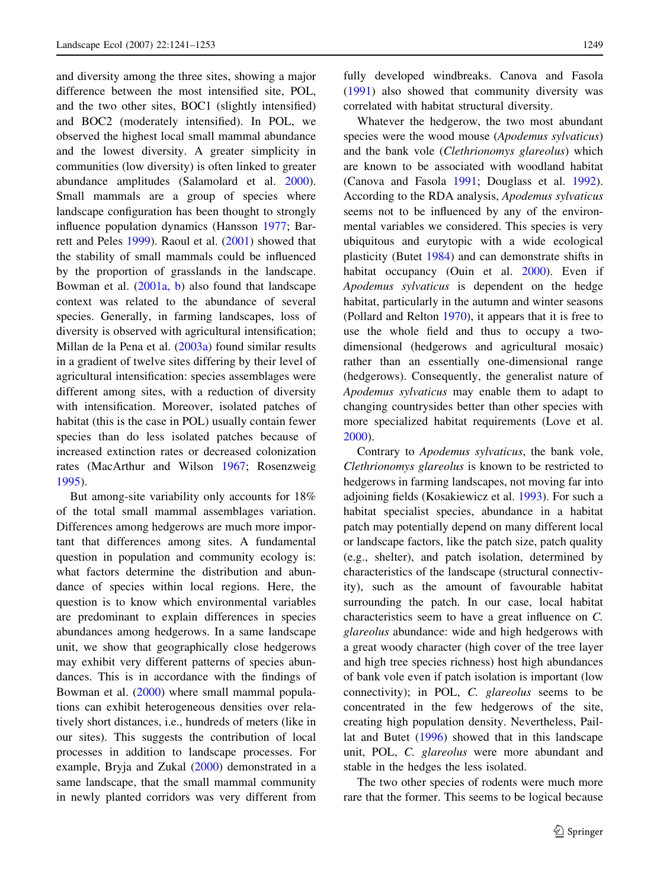and diversity among the three sites, showing a major difference between the most intensified site, POL, and the two other sites, BOC1 (slightly intensified) and BOC2 (moderately intensified). In POL, we observed the highest local small mammal abundance and the lowest diversity. A greater simplicity in communities (low diversity) is often linked to greater abundance amplitudes (Salamolard et al. [2000](#page-11-0)). Small mammals are a group of species where landscape configuration has been thought to strongly influence population dynamics (Hansson [1977;](#page-10-0) Barrett and Peles [1999\)](#page-10-0). Raoul et al. [\(2001](#page-11-0)) showed that the stability of small mammals could be influenced by the proportion of grasslands in the landscape. Bowman et al. [\(2001a, b](#page-10-0)) also found that landscape context was related to the abundance of several species. Generally, in farming landscapes, loss of diversity is observed with agricultural intensification; Millan de la Pena et al. [\(2003a\)](#page-11-0) found similar results in a gradient of twelve sites differing by their level of agricultural intensification: species assemblages were different among sites, with a reduction of diversity with intensification. Moreover, isolated patches of habitat (this is the case in POL) usually contain fewer species than do less isolated patches because of increased extinction rates or decreased colonization rates (MacArthur and Wilson [1967;](#page-11-0) Rosenzweig [1995\)](#page-11-0).

But among-site variability only accounts for 18% of the total small mammal assemblages variation. Differences among hedgerows are much more important that differences among sites. A fundamental question in population and community ecology is: what factors determine the distribution and abundance of species within local regions. Here, the question is to know which environmental variables are predominant to explain differences in species abundances among hedgerows. In a same landscape unit, we show that geographically close hedgerows may exhibit very different patterns of species abundances. This is in accordance with the findings of Bowman et al. [\(2000](#page-10-0)) where small mammal populations can exhibit heterogeneous densities over relatively short distances, i.e., hundreds of meters (like in our sites). This suggests the contribution of local processes in addition to landscape processes. For example, Bryja and Zukal ([2000\)](#page-10-0) demonstrated in a same landscape, that the small mammal community in newly planted corridors was very different from fully developed windbreaks. Canova and Fasola [\(1991](#page-10-0)) also showed that community diversity was correlated with habitat structural diversity.

Whatever the hedgerow, the two most abundant species were the wood mouse (Apodemus sylvaticus) and the bank vole (Clethrionomys glareolus) which are known to be associated with woodland habitat (Canova and Fasola [1991;](#page-10-0) Douglass et al. [1992](#page-10-0)). According to the RDA analysis, Apodemus sylvaticus seems not to be influenced by any of the environmental variables we considered. This species is very ubiquitous and eurytopic with a wide ecological plasticity (Butet [1984](#page-10-0)) and can demonstrate shifts in habitat occupancy (Ouin et al. [2000\)](#page-11-0). Even if Apodemus sylvaticus is dependent on the hedge habitat, particularly in the autumn and winter seasons (Pollard and Relton [1970](#page-11-0)), it appears that it is free to use the whole field and thus to occupy a twodimensional (hedgerows and agricultural mosaic) rather than an essentially one-dimensional range (hedgerows). Consequently, the generalist nature of Apodemus sylvaticus may enable them to adapt to changing countrysides better than other species with more specialized habitat requirements (Love et al. [2000\)](#page-11-0).

Contrary to Apodemus sylvaticus, the bank vole, Clethrionomys glareolus is known to be restricted to hedgerows in farming landscapes, not moving far into adjoining fields (Kosakiewicz et al. [1993\)](#page-11-0). For such a habitat specialist species, abundance in a habitat patch may potentially depend on many different local or landscape factors, like the patch size, patch quality (e.g., shelter), and patch isolation, determined by characteristics of the landscape (structural connectivity), such as the amount of favourable habitat surrounding the patch. In our case, local habitat characteristics seem to have a great influence on C. glareolus abundance: wide and high hedgerows with a great woody character (high cover of the tree layer and high tree species richness) host high abundances of bank vole even if patch isolation is important (low connectivity); in POL, C. glareolus seems to be concentrated in the few hedgerows of the site, creating high population density. Nevertheless, Paillat and Butet ([1996\)](#page-11-0) showed that in this landscape unit, POL, C. glareolus were more abundant and stable in the hedges the less isolated.

The two other species of rodents were much more rare that the former. This seems to be logical because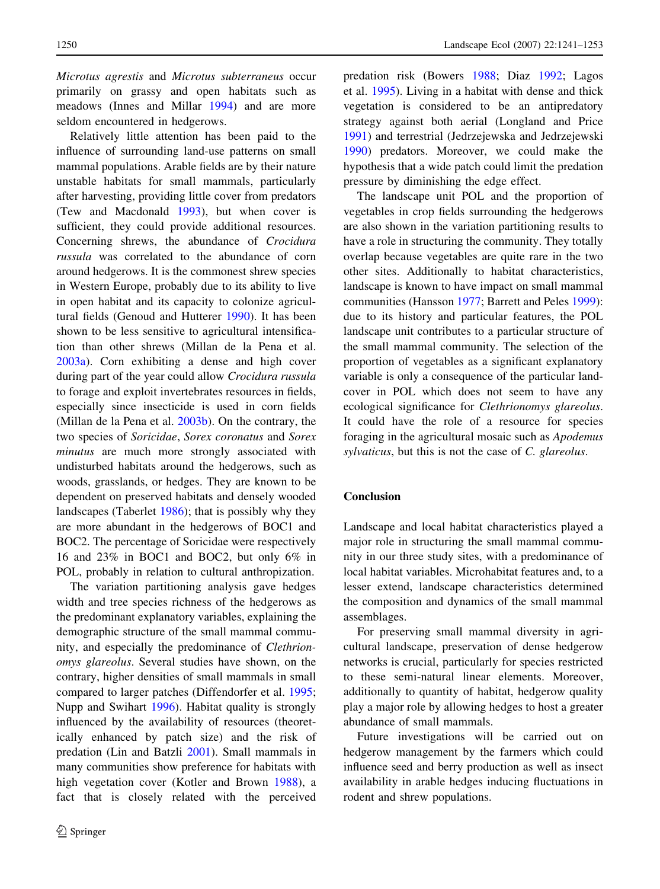Microtus agrestis and Microtus subterraneus occur primarily on grassy and open habitats such as meadows (Innes and Millar [1994](#page-11-0)) and are more seldom encountered in hedgerows.

Relatively little attention has been paid to the influence of surrounding land-use patterns on small mammal populations. Arable fields are by their nature unstable habitats for small mammals, particularly after harvesting, providing little cover from predators (Tew and Macdonald [1993\)](#page-12-0), but when cover is sufficient, they could provide additional resources. Concerning shrews, the abundance of Crocidura russula was correlated to the abundance of corn around hedgerows. It is the commonest shrew species in Western Europe, probably due to its ability to live in open habitat and its capacity to colonize agricultural fields (Genoud and Hutterer [1990](#page-10-0)). It has been shown to be less sensitive to agricultural intensification than other shrews (Millan de la Pena et al. [2003a](#page-11-0)). Corn exhibiting a dense and high cover during part of the year could allow Crocidura russula to forage and exploit invertebrates resources in fields, especially since insecticide is used in corn fields (Millan de la Pena et al. [2003b](#page-11-0)). On the contrary, the two species of Soricidae, Sorex coronatus and Sorex minutus are much more strongly associated with undisturbed habitats around the hedgerows, such as woods, grasslands, or hedges. They are known to be dependent on preserved habitats and densely wooded landscapes (Taberlet [1986\)](#page-11-0); that is possibly why they are more abundant in the hedgerows of BOC1 and BOC2. The percentage of Soricidae were respectively 16 and 23% in BOC1 and BOC2, but only 6% in POL, probably in relation to cultural anthropization.

The variation partitioning analysis gave hedges width and tree species richness of the hedgerows as the predominant explanatory variables, explaining the demographic structure of the small mammal community, and especially the predominance of Clethrionomys glareolus. Several studies have shown, on the contrary, higher densities of small mammals in small compared to larger patches (Diffendorfer et al. [1995](#page-10-0); Nupp and Swihart [1996](#page-11-0)). Habitat quality is strongly influenced by the availability of resources (theoretically enhanced by patch size) and the risk of predation (Lin and Batzli [2001](#page-11-0)). Small mammals in many communities show preference for habitats with high vegetation cover (Kotler and Brown [1988](#page-11-0)), a fact that is closely related with the perceived

predation risk (Bowers [1988](#page-10-0); Diaz [1992](#page-10-0); Lagos et al. [1995](#page-11-0)). Living in a habitat with dense and thick vegetation is considered to be an antipredatory strategy against both aerial (Longland and Price [1991\)](#page-11-0) and terrestrial (Jedrzejewska and Jedrzejewski [1990\)](#page-11-0) predators. Moreover, we could make the hypothesis that a wide patch could limit the predation pressure by diminishing the edge effect.

The landscape unit POL and the proportion of vegetables in crop fields surrounding the hedgerows are also shown in the variation partitioning results to have a role in structuring the community. They totally overlap because vegetables are quite rare in the two other sites. Additionally to habitat characteristics, landscape is known to have impact on small mammal communities (Hansson [1977;](#page-10-0) Barrett and Peles [1999](#page-10-0)): due to its history and particular features, the POL landscape unit contributes to a particular structure of the small mammal community. The selection of the proportion of vegetables as a significant explanatory variable is only a consequence of the particular landcover in POL which does not seem to have any ecological significance for Clethrionomys glareolus. It could have the role of a resource for species foraging in the agricultural mosaic such as Apodemus sylvaticus, but this is not the case of C. glareolus.

### Conclusion

Landscape and local habitat characteristics played a major role in structuring the small mammal community in our three study sites, with a predominance of local habitat variables. Microhabitat features and, to a lesser extend, landscape characteristics determined the composition and dynamics of the small mammal assemblages.

For preserving small mammal diversity in agricultural landscape, preservation of dense hedgerow networks is crucial, particularly for species restricted to these semi-natural linear elements. Moreover, additionally to quantity of habitat, hedgerow quality play a major role by allowing hedges to host a greater abundance of small mammals.

Future investigations will be carried out on hedgerow management by the farmers which could influence seed and berry production as well as insect availability in arable hedges inducing fluctuations in rodent and shrew populations.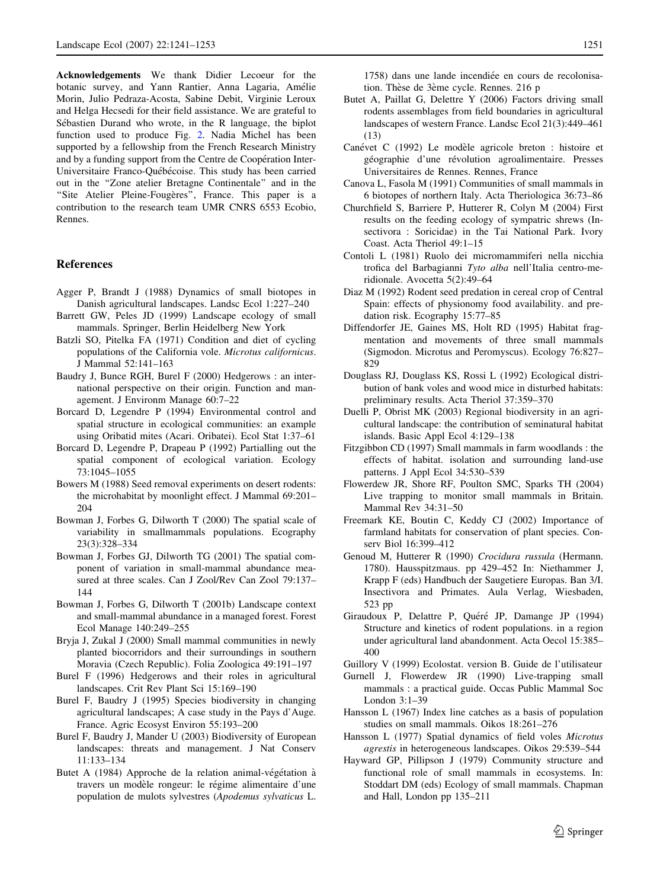<span id="page-10-0"></span>Acknowledgements We thank Didier Lecoeur for the botanic survey, and Yann Rantier, Anna Lagaria, Amélie Morin, Julio Pedraza-Acosta, Sabine Debit, Virginie Leroux and Helga Hecsedi for their field assistance. We are grateful to Sébastien Durand who wrote, in the R language, the biplot function used to produce Fig. [2.](#page-6-0) Nadia Michel has been supported by a fellowship from the French Research Ministry and by a funding support from the Centre de Coopération Inter-Universitaire Franco-Québécoise. This study has been carried out in the ''Zone atelier Bretagne Continentale'' and in the "Site Atelier Pleine-Fougères", France. This paper is a contribution to the research team UMR CNRS 6553 Ecobio, Rennes.

#### References

- Agger P, Brandt J (1988) Dynamics of small biotopes in Danish agricultural landscapes. Landsc Ecol 1:227–240
- Barrett GW, Peles JD (1999) Landscape ecology of small mammals. Springer, Berlin Heidelberg New York
- Batzli SO, Pitelka FA (1971) Condition and diet of cycling populations of the California vole. Microtus californicus. J Mammal 52:141–163
- Baudry J, Bunce RGH, Burel F (2000) Hedgerows : an international perspective on their origin. Function and management. J Environm Manage 60:7–22
- Borcard D, Legendre P (1994) Environmental control and spatial structure in ecological communities: an example using Oribatid mites (Acari. Oribatei). Ecol Stat 1:37–61
- Borcard D, Legendre P, Drapeau P (1992) Partialling out the spatial component of ecological variation. Ecology 73:1045–1055
- Bowers M (1988) Seed removal experiments on desert rodents: the microhabitat by moonlight effect. J Mammal 69:201– 204
- Bowman J, Forbes G, Dilworth T (2000) The spatial scale of variability in smallmammals populations. Ecography 23(3):328–334
- Bowman J, Forbes GJ, Dilworth TG (2001) The spatial component of variation in small-mammal abundance measured at three scales. Can J Zool/Rev Can Zool 79:137– 144
- Bowman J, Forbes G, Dilworth T (2001b) Landscape context and small-mammal abundance in a managed forest. Forest Ecol Manage 140:249–255
- Bryja J, Zukal J (2000) Small mammal communities in newly planted biocorridors and their surroundings in southern Moravia (Czech Republic). Folia Zoologica 49:191–197
- Burel F (1996) Hedgerows and their roles in agricultural landscapes. Crit Rev Plant Sci 15:169–190
- Burel F, Baudry J (1995) Species biodiversity in changing agricultural landscapes; A case study in the Pays d'Auge. France. Agric Ecosyst Environ 55:193–200
- Burel F, Baudry J, Mander U (2003) Biodiversity of European landscapes: threats and management. J Nat Conserv 11:133–134
- Butet A (1984) Approche de la relation animal-végétation à travers un modèle rongeur: le régime alimentaire d'une population de mulots sylvestres (Apodemus sylvaticus L.

1758) dans une lande incendiée en cours de recolonisation. Thèse de 3ème cycle. Rennes. 216 p

- Butet A, Paillat G, Delettre Y (2006) Factors driving small rodents assemblages from field boundaries in agricultural landscapes of western France. Landsc Ecol 21(3):449–461 (13)
- Canévet C (1992) Le modèle agricole breton : histoire et géographie d'une révolution agroalimentaire. Presses Universitaires de Rennes. Rennes, France
- Canova L, Fasola M (1991) Communities of small mammals in 6 biotopes of northern Italy. Acta Theriologica 36:73–86
- Churchfield S, Barriere P, Hutterer R, Colyn M (2004) First results on the feeding ecology of sympatric shrews (Insectivora : Soricidae) in the Tai National Park. Ivory Coast. Acta Theriol 49:1–15
- Contoli L (1981) Ruolo dei micromammiferi nella nicchia trofica del Barbagianni Tyto alba nell'Italia centro-meridionale. Avocetta 5(2):49–64
- Diaz M (1992) Rodent seed predation in cereal crop of Central Spain: effects of physionomy food availability. and predation risk. Ecography 15:77–85
- Diffendorfer JE, Gaines MS, Holt RD (1995) Habitat fragmentation and movements of three small mammals (Sigmodon. Microtus and Peromyscus). Ecology 76:827– 829
- Douglass RJ, Douglass KS, Rossi L (1992) Ecological distribution of bank voles and wood mice in disturbed habitats: preliminary results. Acta Theriol 37:359–370
- Duelli P, Obrist MK (2003) Regional biodiversity in an agricultural landscape: the contribution of seminatural habitat islands. Basic Appl Ecol 4:129–138
- Fitzgibbon CD (1997) Small mammals in farm woodlands : the effects of habitat. isolation and surrounding land-use patterns. J Appl Ecol 34:530–539
- Flowerdew JR, Shore RF, Poulton SMC, Sparks TH (2004) Live trapping to monitor small mammals in Britain. Mammal Rev 34:31–50
- Freemark KE, Boutin C, Keddy CJ (2002) Importance of farmland habitats for conservation of plant species. Conserv Biol 16:399–412
- Genoud M, Hutterer R (1990) Crocidura russula (Hermann. 1780). Hausspitzmaus. pp 429–452 In: Niethammer J, Krapp F (eds) Handbuch der Saugetiere Europas. Ban 3/I. Insectivora and Primates. Aula Verlag, Wiesbaden, 523 pp
- Giraudoux P, Delattre P, Quéré JP, Damange JP (1994) Structure and kinetics of rodent populations. in a region under agricultural land abandonment. Acta Oecol 15:385– 400
- Guillory V (1999) Ecolostat. version B. Guide de l'utilisateur
- Gurnell J, Flowerdew JR (1990) Live-trapping small mammals : a practical guide. Occas Public Mammal Soc London 3:1–39
- Hansson L (1967) Index line catches as a basis of population studies on small mammals. Oikos 18:261–276
- Hansson L (1977) Spatial dynamics of field voles Microtus agrestis in heterogeneous landscapes. Oikos 29:539–544
- Hayward GP, Pillipson J (1979) Community structure and functional role of small mammals in ecosystems. In: Stoddart DM (eds) Ecology of small mammals. Chapman and Hall, London pp 135–211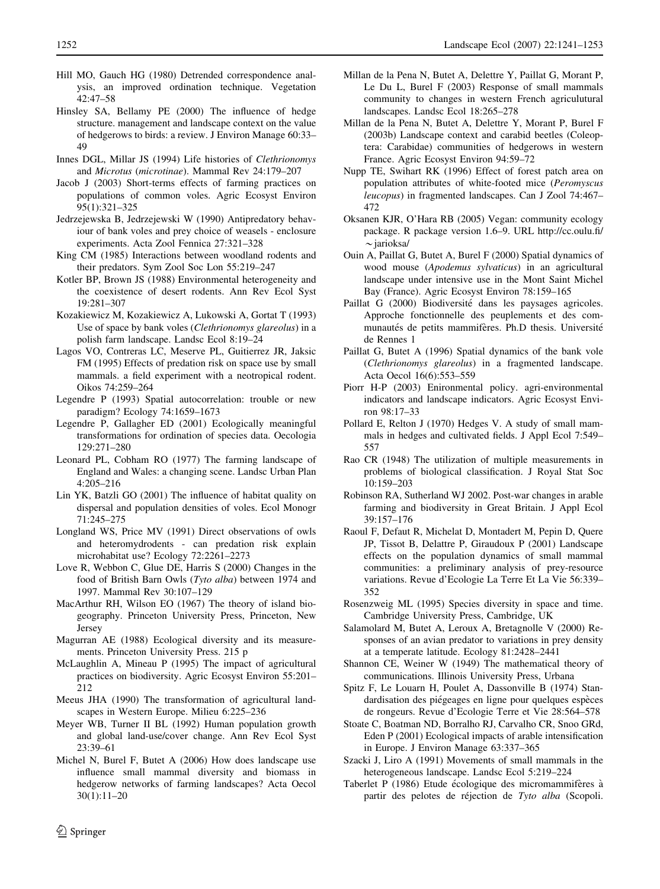- <span id="page-11-0"></span>Hill MO, Gauch HG (1980) Detrended correspondence analysis, an improved ordination technique. Vegetation 42:47–58
- Hinsley SA, Bellamy PE (2000) The influence of hedge structure. management and landscape context on the value of hedgerows to birds: a review. J Environ Manage 60:33– 49
- Innes DGL, Millar JS (1994) Life histories of Clethrionomys and Microtus (microtinae). Mammal Rev 24:179–207
- Jacob J (2003) Short-terms effects of farming practices on populations of common voles. Agric Ecosyst Environ 95(1):321–325
- Jedrzejewska B, Jedrzejewski W (1990) Antipredatory behaviour of bank voles and prey choice of weasels - enclosure experiments. Acta Zool Fennica 27:321–328
- King CM (1985) Interactions between woodland rodents and their predators. Sym Zool Soc Lon 55:219–247
- Kotler BP, Brown JS (1988) Environmental heterogeneity and the coexistence of desert rodents. Ann Rev Ecol Syst 19:281–307
- Kozakiewicz M, Kozakiewicz A, Lukowski A, Gortat T (1993) Use of space by bank voles (Clethrionomys glareolus) in a polish farm landscape. Landsc Ecol 8:19–24
- Lagos VO, Contreras LC, Meserve PL, Guitierrez JR, Jaksic FM (1995) Effects of predation risk on space use by small mammals. a field experiment with a neotropical rodent. Oikos 74:259–264
- Legendre P (1993) Spatial autocorrelation: trouble or new paradigm? Ecology 74:1659–1673
- Legendre P, Gallagher ED (2001) Ecologically meaningful transformations for ordination of species data. Oecologia 129:271–280
- Leonard PL, Cobham RO (1977) The farming landscape of England and Wales: a changing scene. Landsc Urban Plan 4:205–216
- Lin YK, Batzli GO (2001) The influence of habitat quality on dispersal and population densities of voles. Ecol Monogr 71:245–275
- Longland WS, Price MV (1991) Direct observations of owls and heteromydrodents - can predation risk explain microhabitat use? Ecology 72:2261–2273
- Love R, Webbon C, Glue DE, Harris S (2000) Changes in the food of British Barn Owls (Tyto alba) between 1974 and 1997. Mammal Rev 30:107–129
- MacArthur RH, Wilson EO (1967) The theory of island biogeography. Princeton University Press, Princeton, New Jersey
- Magurran AE (1988) Ecological diversity and its measurements. Princeton University Press. 215 p
- McLaughlin A, Mineau P (1995) The impact of agricultural practices on biodiversity. Agric Ecosyst Environ 55:201– 212
- Meeus JHA (1990) The transformation of agricultural landscapes in Western Europe. Milieu 6:225–236
- Meyer WB, Turner II BL (1992) Human population growth and global land-use/cover change. Ann Rev Ecol Syst 23:39–61
- Michel N, Burel F, Butet A (2006) How does landscape use influence small mammal diversity and biomass in hedgerow networks of farming landscapes? Acta Oecol 30(1):11–20
- Millan de la Pena N, Butet A, Delettre Y, Paillat G, Morant P, Le Du L, Burel F (2003) Response of small mammals community to changes in western French agriculutural landscapes. Landsc Ecol 18:265–278
- Millan de la Pena N, Butet A, Delettre Y, Morant P, Burel F (2003b) Landscape context and carabid beetles (Coleoptera: Carabidae) communities of hedgerows in western France. Agric Ecosyst Environ 94:59–72
- Nupp TE, Swihart RK (1996) Effect of forest patch area on population attributes of white-footed mice (Peromyscus leucopus) in fragmented landscapes. Can J Zool 74:467– 472
- Oksanen KJR, O'Hara RB (2005) Vegan: community ecology package. R package version 1.6–9. URL http://cc.oulu.fi/ *\**jarioksa/
- Ouin A, Paillat G, Butet A, Burel F (2000) Spatial dynamics of wood mouse (Apodemus sylvaticus) in an agricultural landscape under intensive use in the Mont Saint Michel Bay (France). Agric Ecosyst Environ 78:159–165
- Paillat G (2000) Biodiversité dans les paysages agricoles. Approche fonctionnelle des peuplements et des communautés de petits mammifères. Ph.D thesis. Université de Rennes 1
- Paillat G, Butet A (1996) Spatial dynamics of the bank vole (Clethrionomys glareolus) in a fragmented landscape. Acta Oecol 16(6):553–559
- Piorr H-P (2003) Enironmental policy. agri-environmental indicators and landscape indicators. Agric Ecosyst Environ 98:17–33
- Pollard E, Relton J (1970) Hedges V. A study of small mammals in hedges and cultivated fields. J Appl Ecol 7:549– 557
- Rao CR (1948) The utilization of multiple measurements in problems of biological classification. J Royal Stat Soc 10:159–203
- Robinson RA, Sutherland WJ 2002. Post-war changes in arable farming and biodiversity in Great Britain. J Appl Ecol 39:157–176
- Raoul F, Defaut R, Michelat D, Montadert M, Pepin D, Quere JP, Tissot B, Delattre P, Giraudoux P (2001) Landscape effects on the population dynamics of small mammal communities: a preliminary analysis of prey-resource variations. Revue d'Ecologie La Terre Et La Vie 56:339– 352
- Rosenzweig ML (1995) Species diversity in space and time. Cambridge University Press, Cambridge, UK
- Salamolard M, Butet A, Leroux A, Bretagnolle V (2000) Responses of an avian predator to variations in prey density at a temperate latitude. Ecology 81:2428–2441
- Shannon CE, Weiner W (1949) The mathematical theory of communications. Illinois University Press, Urbana
- Spitz F, Le Louarn H, Poulet A, Dassonville B (1974) Standardisation des piégeages en ligne pour quelques espèces de rongeurs. Revue d'Ecologie Terre et Vie 28:564–578
- Stoate C, Boatman ND, Borralho RJ, Carvalho CR, Snoo GRd, Eden P (2001) Ecological impacts of arable intensification in Europe. J Environ Manage 63:337–365
- Szacki J, Liro A (1991) Movements of small mammals in the heterogeneous landscape. Landsc Ecol 5:219–224
- Taberlet P (1986) Etude écologique des micromammifères à partir des pelotes de réjection de Tyto alba (Scopoli.